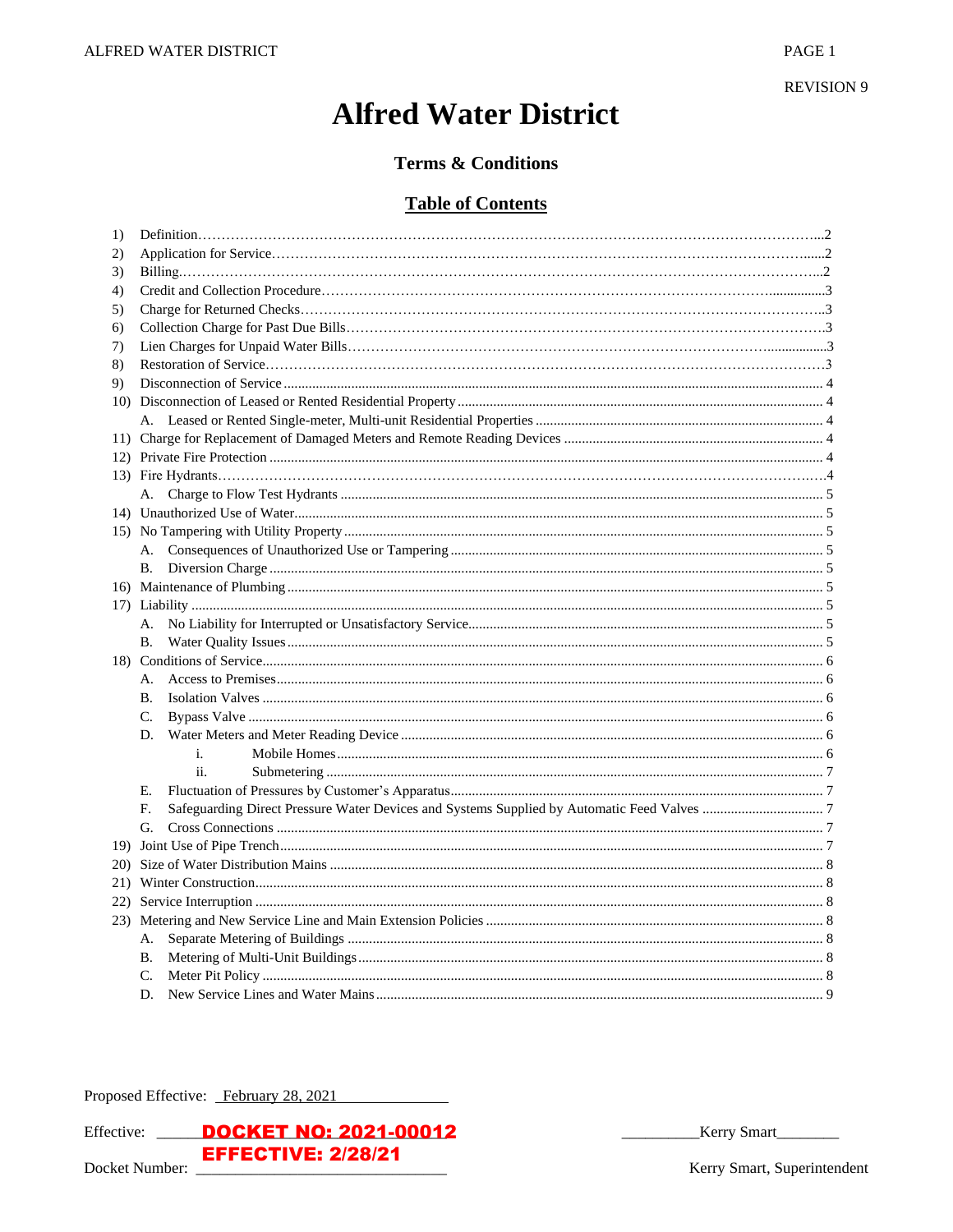**REVISION 9** 

# **Alfred Water District**

# **Terms & Conditions**

# **Table of Contents**

| 1)           |                |  |  |
|--------------|----------------|--|--|
| $\mathbf{2}$ |                |  |  |
| 3)           |                |  |  |
| 4)           |                |  |  |
| 5)           |                |  |  |
| 6)           |                |  |  |
| 7)           |                |  |  |
| 8)           |                |  |  |
| 9)           |                |  |  |
|              |                |  |  |
|              |                |  |  |
|              |                |  |  |
|              |                |  |  |
|              |                |  |  |
|              |                |  |  |
|              |                |  |  |
|              |                |  |  |
|              | А.             |  |  |
|              | В.             |  |  |
|              |                |  |  |
|              |                |  |  |
|              | А.             |  |  |
|              | В.             |  |  |
|              |                |  |  |
|              | А.             |  |  |
|              | В.             |  |  |
|              | C.             |  |  |
|              | D.             |  |  |
|              | $\mathbf{i}$ . |  |  |
|              | ii.            |  |  |
|              | Е.             |  |  |
|              | F.             |  |  |
|              | G.             |  |  |
|              |                |  |  |
| <b>20</b> )  |                |  |  |
|              |                |  |  |
|              |                |  |  |
|              |                |  |  |
|              | А.             |  |  |
|              | Β.             |  |  |
|              | C.             |  |  |
|              | D.             |  |  |

Proposed Effective: February 28, 2021



Kerry Smart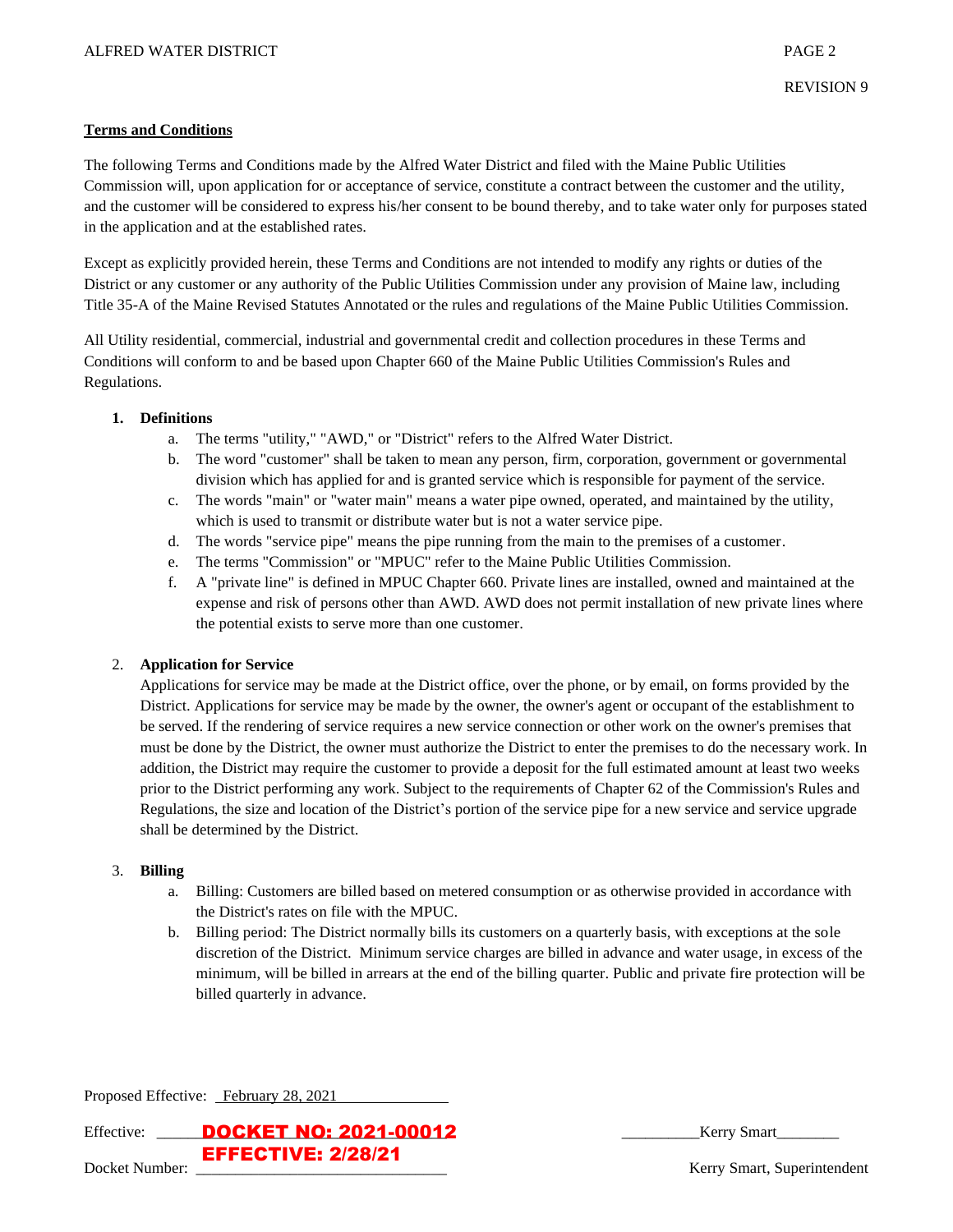#### **Terms and Conditions**

The following Terms and Conditions made by the Alfred Water District and filed with the Maine Public Utilities Commission will, upon application for or acceptance of service, constitute a contract between the customer and the utility, and the customer will be considered to express his/her consent to be bound thereby, and to take water only for purposes stated in the application and at the established rates.

Except as explicitly provided herein, these Terms and Conditions are not intended to modify any rights or duties of the District or any customer or any authority of the Public Utilities Commission under any provision of Maine law, including Title 35-A of the Maine Revised Statutes Annotated or the rules and regulations of the Maine Public Utilities Commission.

All Utility residential, commercial, industrial and governmental credit and collection procedures in these Terms and Conditions will conform to and be based upon Chapter 660 of the Maine Public Utilities Commission's Rules and Regulations.

#### **1. Definitions**

- a. The terms "utility," "AWD," or "District" refers to the Alfred Water District.
- b. The word "customer" shall be taken to mean any person, firm, corporation, government or governmental division which has applied for and is granted service which is responsible for payment of the service.
- c. The words "main" or "water main" means a water pipe owned, operated, and maintained by the utility, which is used to transmit or distribute water but is not a water service pipe.
- d. The words "service pipe" means the pipe running from the main to the premises of a customer.
- e. The terms "Commission" or "MPUC" refer to the Maine Public Utilities Commission.
- f. A "private line" is defined in MPUC Chapter 660. Private lines are installed, owned and maintained at the expense and risk of persons other than AWD. AWD does not permit installation of new private lines where the potential exists to serve more than one customer.

## 2. **Application for Service**

Applications for service may be made at the District office, over the phone, or by email, on forms provided by the District. Applications for service may be made by the owner, the owner's agent or occupant of the establishment to be served. If the rendering of service requires a new service connection or other work on the owner's premises that must be done by the District, the owner must authorize the District to enter the premises to do the necessary work. In addition, the District may require the customer to provide a deposit for the full estimated amount at least two weeks prior to the District performing any work. Subject to the requirements of Chapter 62 of the Commission's Rules and Regulations, the size and location of the District's portion of the service pipe for a new service and service upgrade shall be determined by the District.

## 3. **Billing**

- a. Billing: Customers are billed based on metered consumption or as otherwise provided in accordance with the District's rates on file with the MPUC.
- b. Billing period: The District normally bills its customers on a quarterly basis, with exceptions at the sole discretion of the District. Minimum service charges are billed in advance and water usage, in excess of the minimum, will be billed in arrears at the end of the billing quarter. Public and private fire protection will be billed quarterly in advance.

Proposed Effective: February 28, 2021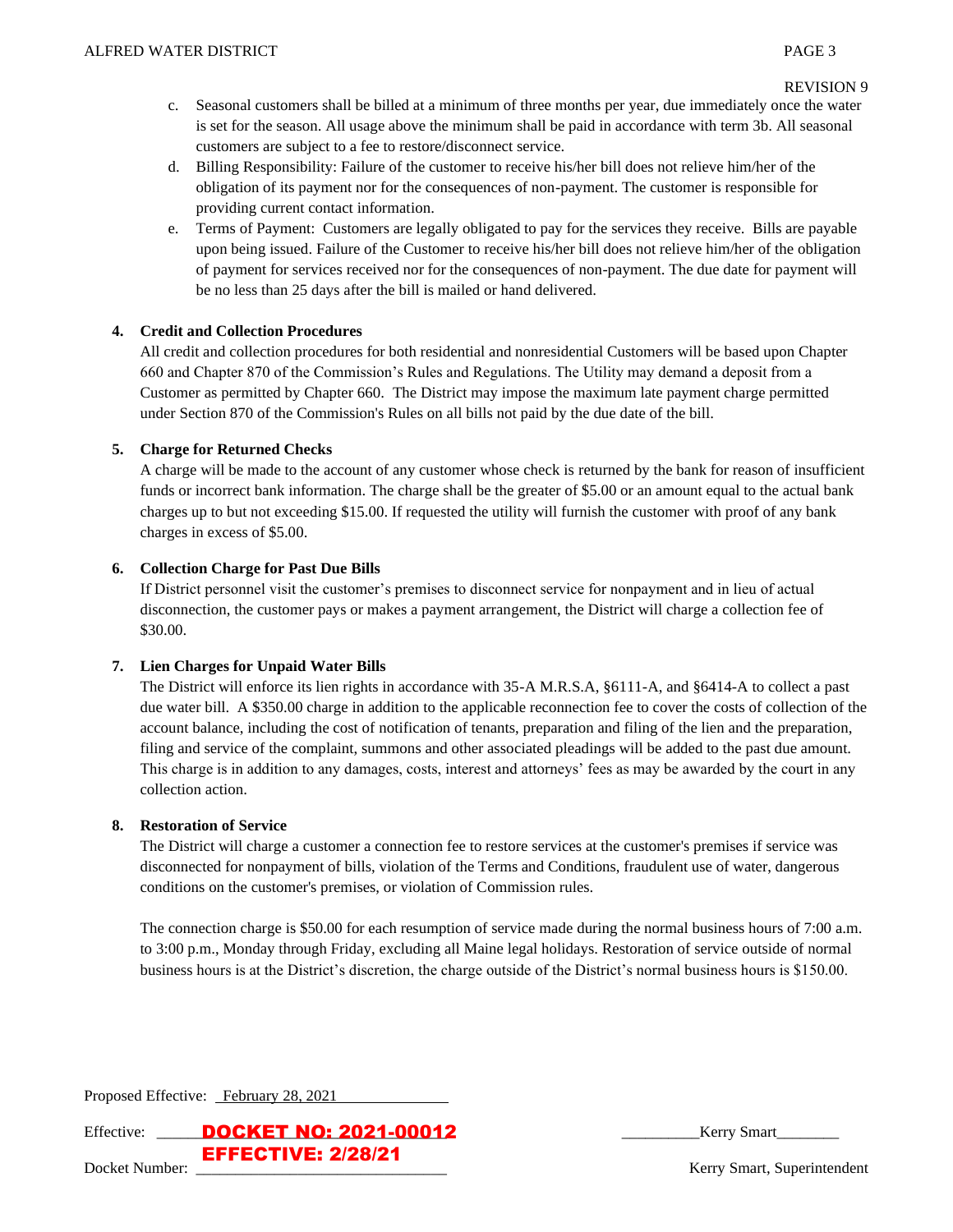#### REVISION 9

- c. Seasonal customers shall be billed at a minimum of three months per year, due immediately once the water is set for the season. All usage above the minimum shall be paid in accordance with term 3b. All seasonal customers are subject to a fee to restore/disconnect service.
- d. Billing Responsibility: Failure of the customer to receive his/her bill does not relieve him/her of the obligation of its payment nor for the consequences of non-payment. The customer is responsible for providing current contact information.
- e. Terms of Payment: Customers are legally obligated to pay for the services they receive. Bills are payable upon being issued. Failure of the Customer to receive his/her bill does not relieve him/her of the obligation of payment for services received nor for the consequences of non-payment. The due date for payment will be no less than 25 days after the bill is mailed or hand delivered.

# **4. Credit and Collection Procedures**

All credit and collection procedures for both residential and nonresidential Customers will be based upon Chapter 660 and Chapter 870 of the Commission's Rules and Regulations. The Utility may demand a deposit from a Customer as permitted by Chapter 660. The District may impose the maximum late payment charge permitted under Section 870 of the Commission's Rules on all bills not paid by the due date of the bill.

# **5. Charge for Returned Checks**

A charge will be made to the account of any customer whose check is returned by the bank for reason of insufficient funds or incorrect bank information. The charge shall be the greater of \$5.00 or an amount equal to the actual bank charges up to but not exceeding \$15.00. If requested the utility will furnish the customer with proof of any bank charges in excess of \$5.00.

# **6. Collection Charge for Past Due Bills**

If District personnel visit the customer's premises to disconnect service for nonpayment and in lieu of actual disconnection, the customer pays or makes a payment arrangement, the District will charge a collection fee of \$30.00.

## **7. Lien Charges for Unpaid Water Bills**

The District will enforce its lien rights in accordance with 35-A M.R.S.A, §6111-A, and §6414-A to collect a past due water bill. A \$350.00 charge in addition to the applicable reconnection fee to cover the costs of collection of the account balance, including the cost of notification of tenants, preparation and filing of the lien and the preparation, filing and service of the complaint, summons and other associated pleadings will be added to the past due amount. This charge is in addition to any damages, costs, interest and attorneys' fees as may be awarded by the court in any collection action.

## **8. Restoration of Service**

The District will charge a customer a connection fee to restore services at the customer's premises if service was disconnected for nonpayment of bills, violation of the Terms and Conditions, fraudulent use of water, dangerous conditions on the customer's premises, or violation of Commission rules.

The connection charge is \$50.00 for each resumption of service made during the normal business hours of 7:00 a.m. to 3:00 p.m., Monday through Friday, excluding all Maine legal holidays. Restoration of service outside of normal business hours is at the District's discretion, the charge outside of the District's normal business hours is \$150.00.

Proposed Effective: February 28, 2021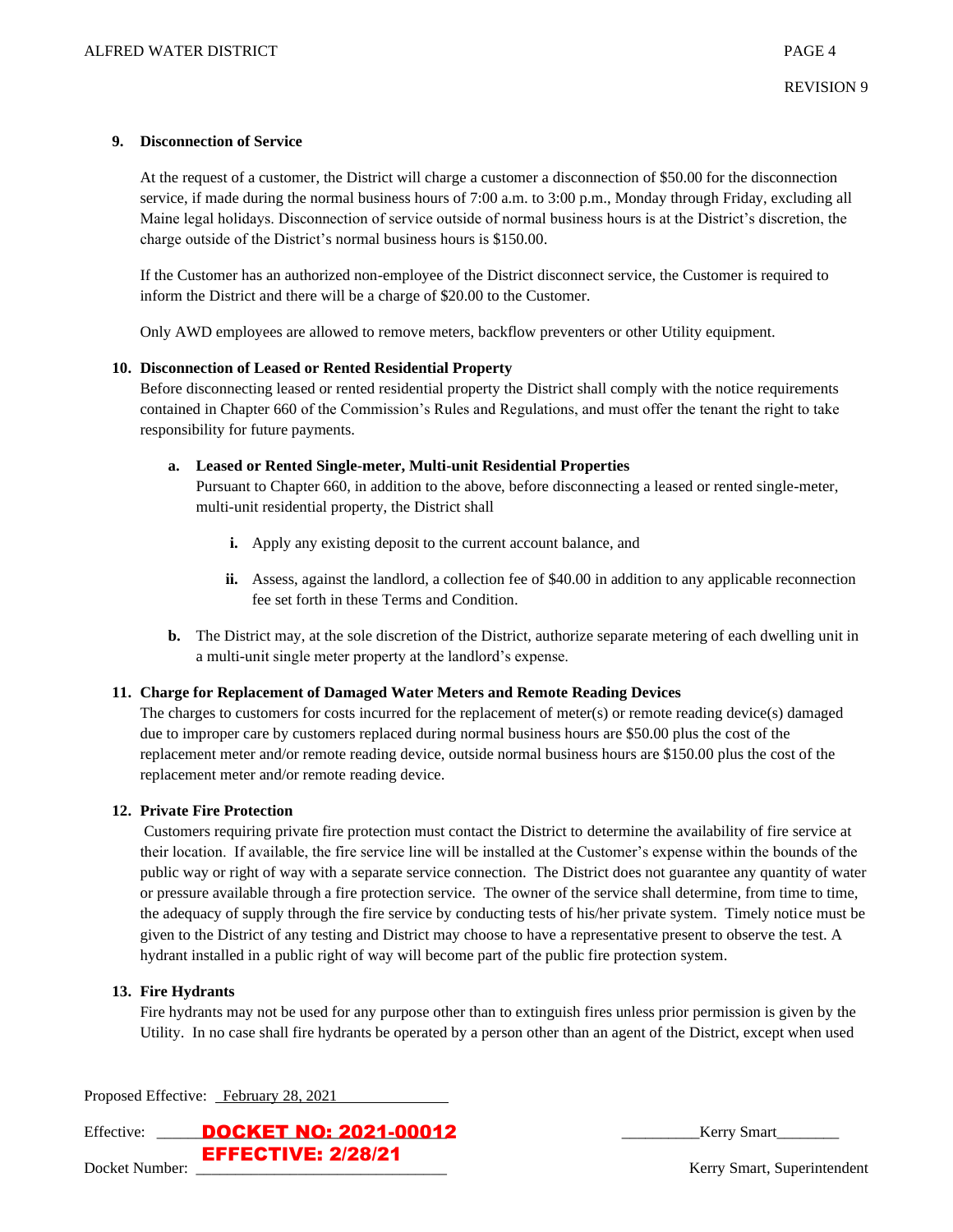## **9. Disconnection of Service**

At the request of a customer, the District will charge a customer a disconnection of \$50.00 for the disconnection service, if made during the normal business hours of 7:00 a.m. to 3:00 p.m., Monday through Friday, excluding all Maine legal holidays. Disconnection of service outside of normal business hours is at the District's discretion, the charge outside of the District's normal business hours is \$150.00.

If the Customer has an authorized non-employee of the District disconnect service, the Customer is required to inform the District and there will be a charge of \$20.00 to the Customer.

Only AWD employees are allowed to remove meters, backflow preventers or other Utility equipment.

#### **10. Disconnection of Leased or Rented Residential Property**

Before disconnecting leased or rented residential property the District shall comply with the notice requirements contained in Chapter 660 of the Commission's Rules and Regulations, and must offer the tenant the right to take responsibility for future payments.

#### **a. Leased or Rented Single-meter, Multi-unit Residential Properties**

Pursuant to Chapter 660, in addition to the above, before disconnecting a leased or rented single-meter, multi-unit residential property, the District shall

- **i.** Apply any existing deposit to the current account balance, and
- **ii.** Assess, against the landlord, a collection fee of \$40.00 in addition to any applicable reconnection fee set forth in these Terms and Condition.
- **b.** The District may, at the sole discretion of the District, authorize separate metering of each dwelling unit in a multi-unit single meter property at the landlord's expense.

## **11. Charge for Replacement of Damaged Water Meters and Remote Reading Devices**

The charges to customers for costs incurred for the replacement of meter(s) or remote reading device(s) damaged due to improper care by customers replaced during normal business hours are \$50.00 plus the cost of the replacement meter and/or remote reading device, outside normal business hours are \$150.00 plus the cost of the replacement meter and/or remote reading device.

## **12. Private Fire Protection**

Customers requiring private fire protection must contact the District to determine the availability of fire service at their location. If available, the fire service line will be installed at the Customer's expense within the bounds of the public way or right of way with a separate service connection. The District does not guarantee any quantity of water or pressure available through a fire protection service. The owner of the service shall determine, from time to time, the adequacy of supply through the fire service by conducting tests of his/her private system. Timely notice must be given to the District of any testing and District may choose to have a representative present to observe the test. A hydrant installed in a public right of way will become part of the public fire protection system.

## **13. Fire Hydrants**

Fire hydrants may not be used for any purpose other than to extinguish fires unless prior permission is given by the Utility. In no case shall fire hydrants be operated by a person other than an agent of the District, except when used

Proposed Effective: February 28, 2021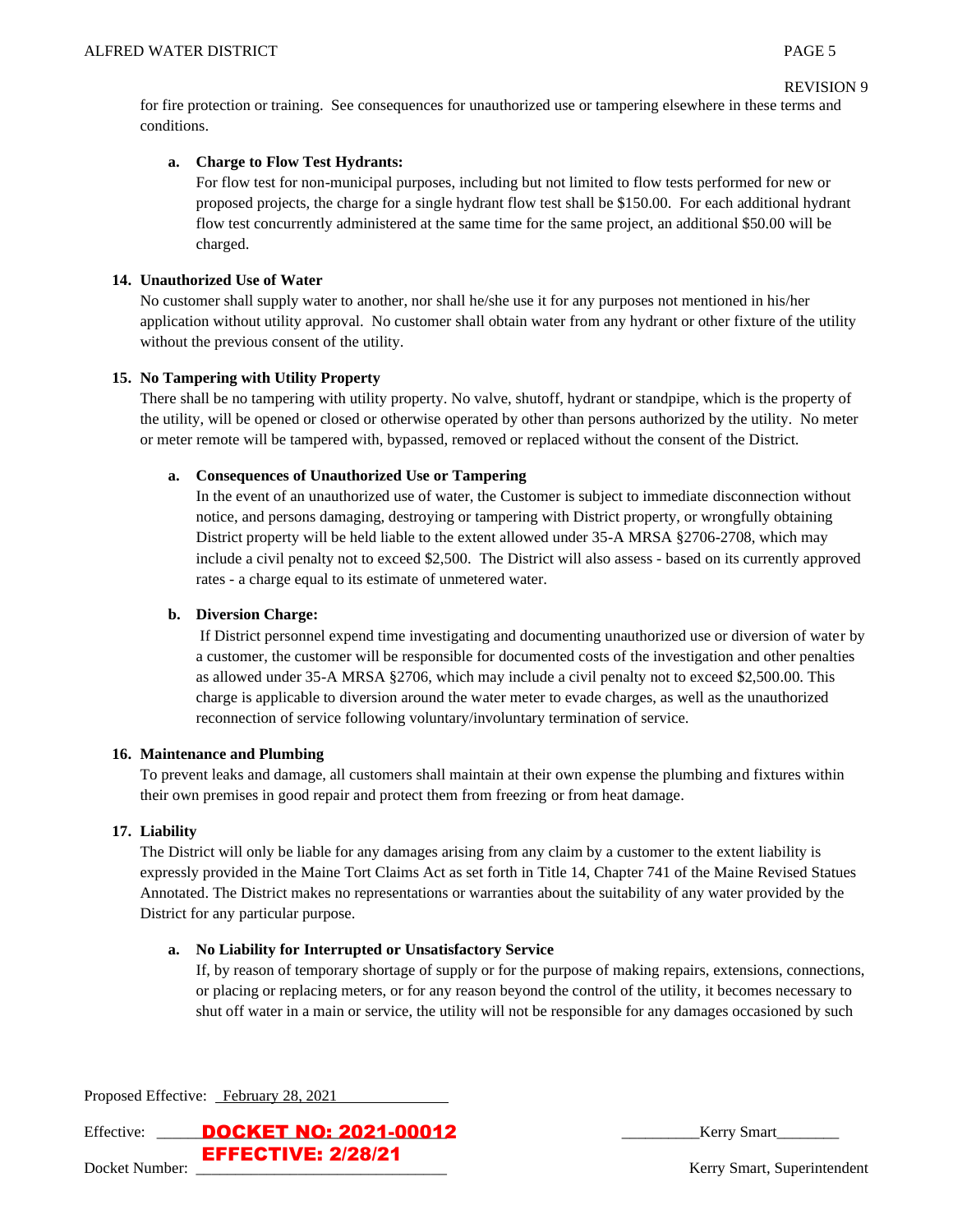```
REVISION 9
```
for fire protection or training. See consequences for unauthorized use or tampering elsewhere in these terms and conditions.

# **a. Charge to Flow Test Hydrants:**

For flow test for non-municipal purposes, including but not limited to flow tests performed for new or proposed projects, the charge for a single hydrant flow test shall be \$150.00. For each additional hydrant flow test concurrently administered at the same time for the same project, an additional \$50.00 will be charged.

## **14. Unauthorized Use of Water**

No customer shall supply water to another, nor shall he/she use it for any purposes not mentioned in his/her application without utility approval. No customer shall obtain water from any hydrant or other fixture of the utility without the previous consent of the utility.

# **15. No Tampering with Utility Property**

There shall be no tampering with utility property. No valve, shutoff, hydrant or standpipe, which is the property of the utility, will be opened or closed or otherwise operated by other than persons authorized by the utility. No meter or meter remote will be tampered with, bypassed, removed or replaced without the consent of the District.

# **a. Consequences of Unauthorized Use or Tampering**

In the event of an unauthorized use of water, the Customer is subject to immediate disconnection without notice, and persons damaging, destroying or tampering with District property, or wrongfully obtaining District property will be held liable to the extent allowed under 35-A MRSA §2706-2708, which may include a civil penalty not to exceed \$2,500. The District will also assess - based on its currently approved rates - a charge equal to its estimate of unmetered water.

# **b. Diversion Charge:**

If District personnel expend time investigating and documenting unauthorized use or diversion of water by a customer, the customer will be responsible for documented costs of the investigation and other penalties as allowed under 35-A MRSA §2706, which may include a civil penalty not to exceed \$2,500.00. This charge is applicable to diversion around the water meter to evade charges, as well as the unauthorized reconnection of service following voluntary/involuntary termination of service.

## **16. Maintenance and Plumbing**

To prevent leaks and damage, all customers shall maintain at their own expense the plumbing and fixtures within their own premises in good repair and protect them from freezing or from heat damage.

## **17. Liability**

The District will only be liable for any damages arising from any claim by a customer to the extent liability is expressly provided in the Maine Tort Claims Act as set forth in Title 14, Chapter 741 of the Maine Revised Statues Annotated. The District makes no representations or warranties about the suitability of any water provided by the District for any particular purpose.

## **a. No Liability for Interrupted or Unsatisfactory Service**

If, by reason of temporary shortage of supply or for the purpose of making repairs, extensions, connections, or placing or replacing meters, or for any reason beyond the control of the utility, it becomes necessary to shut off water in a main or service, the utility will not be responsible for any damages occasioned by such

| Proposed Effective: February 28, 2021 |                                         |
|---------------------------------------|-----------------------------------------|
|                                       | Effective: <b>DOCKET NO: 2021-00012</b> |

Effective: Letter the effect of the effective of  $\overline{E}$  Kerry Smart

EFFECTIVE: 2/28/21

Docket Number: \_\_\_\_\_\_\_\_\_\_\_\_\_\_\_\_\_\_\_\_\_\_\_\_\_\_\_\_\_\_\_\_ Kerry Smart, Superintendent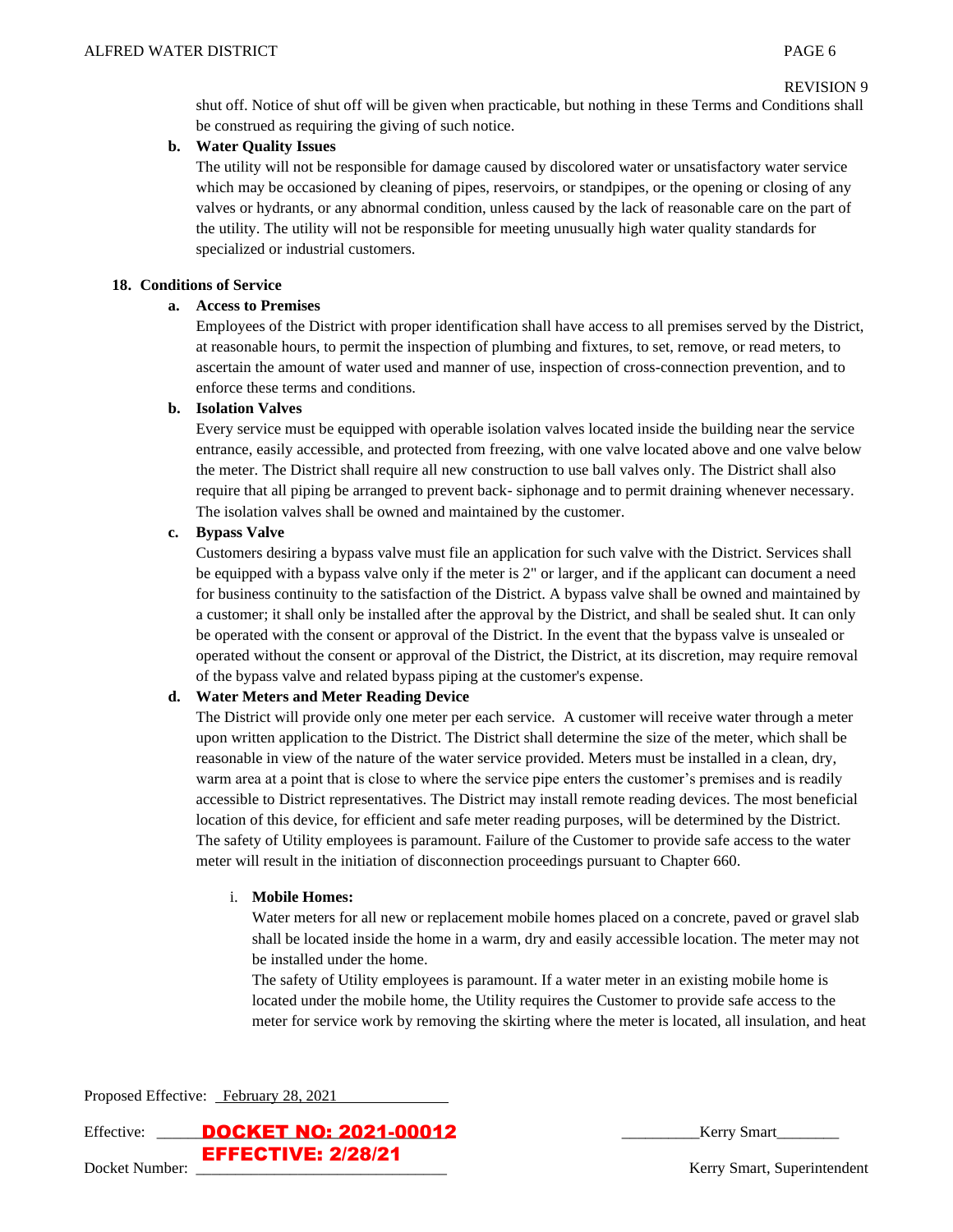```
REVISION 9
```
shut off. Notice of shut off will be given when practicable, but nothing in these Terms and Conditions shall be construed as requiring the giving of such notice.

# **b. Water Quality Issues**

The utility will not be responsible for damage caused by discolored water or unsatisfactory water service which may be occasioned by cleaning of pipes, reservoirs, or standpipes, or the opening or closing of any valves or hydrants, or any abnormal condition, unless caused by the lack of reasonable care on the part of the utility. The utility will not be responsible for meeting unusually high water quality standards for specialized or industrial customers.

## **18. Conditions of Service**

# **a. Access to Premises**

Employees of the District with proper identification shall have access to all premises served by the District, at reasonable hours, to permit the inspection of plumbing and fixtures, to set, remove, or read meters, to ascertain the amount of water used and manner of use, inspection of cross-connection prevention, and to enforce these terms and conditions.

# **b. Isolation Valves**

Every service must be equipped with operable isolation valves located inside the building near the service entrance, easily accessible, and protected from freezing, with one valve located above and one valve below the meter. The District shall require all new construction to use ball valves only. The District shall also require that all piping be arranged to prevent back- siphonage and to permit draining whenever necessary. The isolation valves shall be owned and maintained by the customer.

# **c. Bypass Valve**

Customers desiring a bypass valve must file an application for such valve with the District. Services shall be equipped with a bypass valve only if the meter is 2" or larger, and if the applicant can document a need for business continuity to the satisfaction of the District. A bypass valve shall be owned and maintained by a customer; it shall only be installed after the approval by the District, and shall be sealed shut. It can only be operated with the consent or approval of the District. In the event that the bypass valve is unsealed or operated without the consent or approval of the District, the District, at its discretion, may require removal of the bypass valve and related bypass piping at the customer's expense.

# **d. Water Meters and Meter Reading Device**

The District will provide only one meter per each service. A customer will receive water through a meter upon written application to the District. The District shall determine the size of the meter, which shall be reasonable in view of the nature of the water service provided. Meters must be installed in a clean, dry, warm area at a point that is close to where the service pipe enters the customer's premises and is readily accessible to District representatives. The District may install remote reading devices. The most beneficial location of this device, for efficient and safe meter reading purposes, will be determined by the District. The safety of Utility employees is paramount. Failure of the Customer to provide safe access to the water meter will result in the initiation of disconnection proceedings pursuant to Chapter 660.

## i. **Mobile Homes:**

Water meters for all new or replacement mobile homes placed on a concrete, paved or gravel slab shall be located inside the home in a warm, dry and easily accessible location. The meter may not be installed under the home.

The safety of Utility employees is paramount. If a water meter in an existing mobile home is located under the mobile home, the Utility requires the Customer to provide safe access to the meter for service work by removing the skirting where the meter is located, all insulation, and heat

Proposed Effective: February 28, 2021

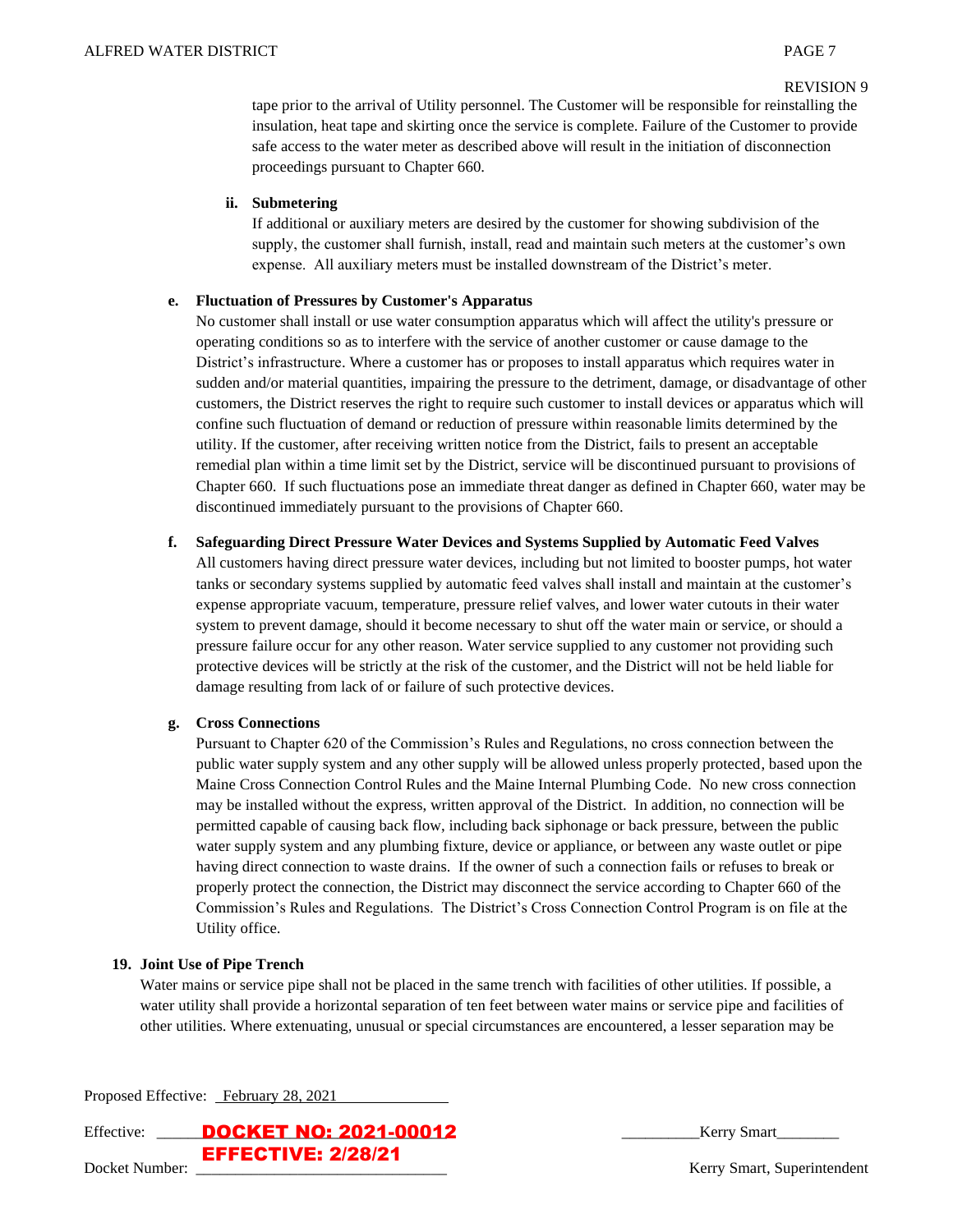#### REVISION 9

tape prior to the arrival of Utility personnel. The Customer will be responsible for reinstalling the insulation, heat tape and skirting once the service is complete. Failure of the Customer to provide safe access to the water meter as described above will result in the initiation of disconnection proceedings pursuant to Chapter 660.

#### **ii. Submetering**

If additional or auxiliary meters are desired by the customer for showing subdivision of the supply, the customer shall furnish, install, read and maintain such meters at the customer's own expense. All auxiliary meters must be installed downstream of the District's meter.

#### **e. Fluctuation of Pressures by Customer's Apparatus**

No customer shall install or use water consumption apparatus which will affect the utility's pressure or operating conditions so as to interfere with the service of another customer or cause damage to the District's infrastructure. Where a customer has or proposes to install apparatus which requires water in sudden and/or material quantities, impairing the pressure to the detriment, damage, or disadvantage of other customers, the District reserves the right to require such customer to install devices or apparatus which will confine such fluctuation of demand or reduction of pressure within reasonable limits determined by the utility. If the customer, after receiving written notice from the District, fails to present an acceptable remedial plan within a time limit set by the District, service will be discontinued pursuant to provisions of Chapter 660. If such fluctuations pose an immediate threat danger as defined in Chapter 660, water may be discontinued immediately pursuant to the provisions of Chapter 660.

#### **f. Safeguarding Direct Pressure Water Devices and Systems Supplied by Automatic Feed Valves**

All customers having direct pressure water devices, including but not limited to booster pumps, hot water tanks or secondary systems supplied by automatic feed valves shall install and maintain at the customer's expense appropriate vacuum, temperature, pressure relief valves, and lower water cutouts in their water system to prevent damage, should it become necessary to shut off the water main or service, or should a pressure failure occur for any other reason. Water service supplied to any customer not providing such protective devices will be strictly at the risk of the customer, and the District will not be held liable for damage resulting from lack of or failure of such protective devices.

#### **g. Cross Connections**

Pursuant to Chapter 620 of the Commission's Rules and Regulations, no cross connection between the public water supply system and any other supply will be allowed unless properly protected, based upon the Maine Cross Connection Control Rules and the Maine Internal Plumbing Code. No new cross connection may be installed without the express, written approval of the District. In addition, no connection will be permitted capable of causing back flow, including back siphonage or back pressure, between the public water supply system and any plumbing fixture, device or appliance, or between any waste outlet or pipe having direct connection to waste drains. If the owner of such a connection fails or refuses to break or properly protect the connection, the District may disconnect the service according to Chapter 660 of the Commission's Rules and Regulations. The District's Cross Connection Control Program is on file at the Utility office.

## **19. Joint Use of Pipe Trench**

Water mains or service pipe shall not be placed in the same trench with facilities of other utilities. If possible, a water utility shall provide a horizontal separation of ten feet between water mains or service pipe and facilities of other utilities. Where extenuating, unusual or special circumstances are encountered, a lesser separation may be

Proposed Effective: February 28, 2021

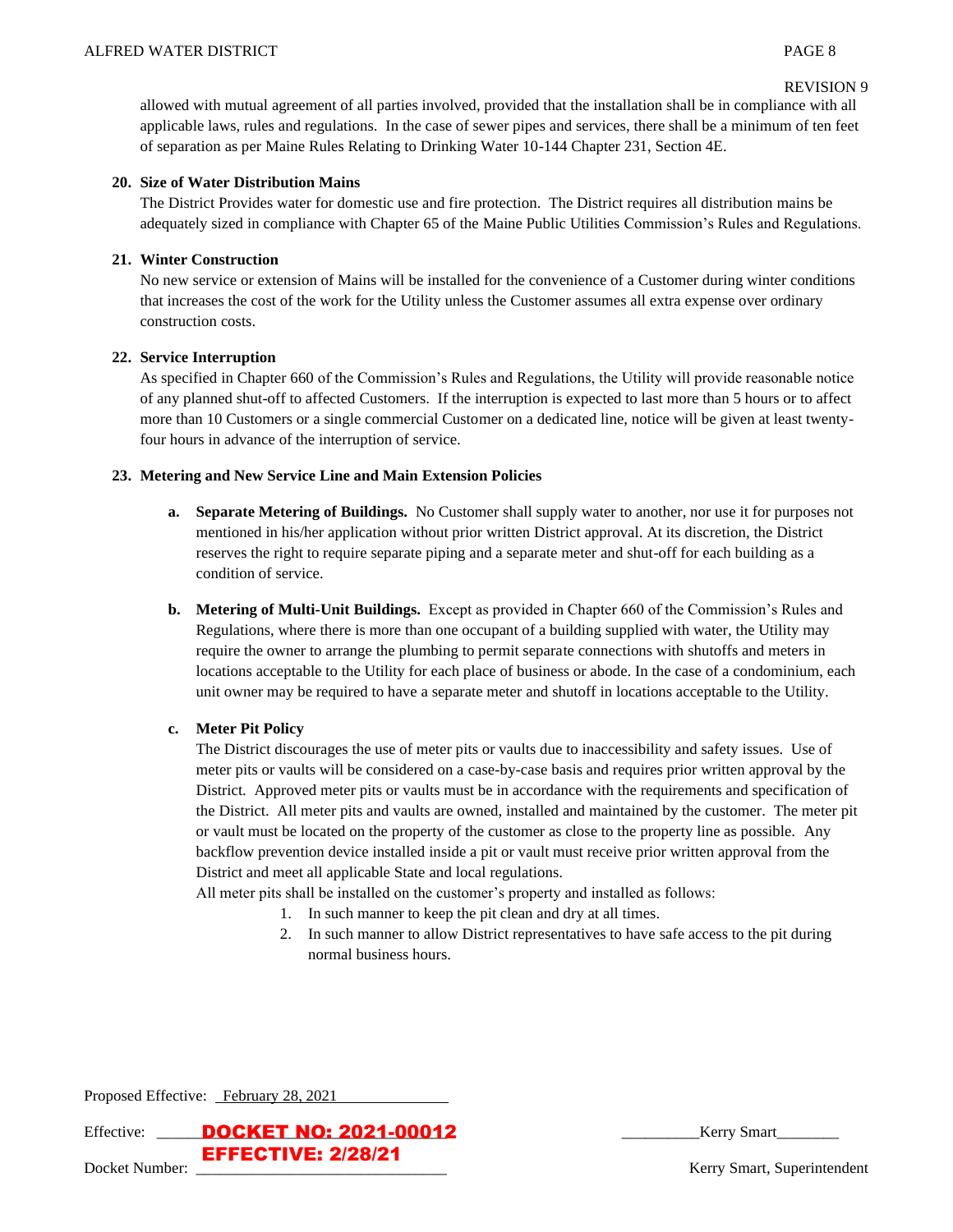allowed with mutual agreement of all parties involved, provided that the installation shall be in compliance with all applicable laws, rules and regulations. In the case of sewer pipes and services, there shall be a minimum of ten feet of separation as per Maine Rules Relating to Drinking Water 10-144 Chapter 231, Section 4E.

## **20. Size of Water Distribution Mains**

The District Provides water for domestic use and fire protection. The District requires all distribution mains be adequately sized in compliance with Chapter 65 of the Maine Public Utilities Commission's Rules and Regulations.

# **21. Winter Construction**

No new service or extension of Mains will be installed for the convenience of a Customer during winter conditions that increases the cost of the work for the Utility unless the Customer assumes all extra expense over ordinary construction costs.

# **22. Service Interruption**

As specified in Chapter 660 of the Commission's Rules and Regulations, the Utility will provide reasonable notice of any planned shut-off to affected Customers. If the interruption is expected to last more than 5 hours or to affect more than 10 Customers or a single commercial Customer on a dedicated line, notice will be given at least twentyfour hours in advance of the interruption of service.

# **23. Metering and New Service Line and Main Extension Policies**

- **a. Separate Metering of Buildings.** No Customer shall supply water to another, nor use it for purposes not mentioned in his/her application without prior written District approval. At its discretion, the District reserves the right to require separate piping and a separate meter and shut-off for each building as a condition of service.
- **b. Metering of Multi-Unit Buildings.** Except as provided in Chapter 660 of the Commission's Rules and Regulations, where there is more than one occupant of a building supplied with water, the Utility may require the owner to arrange the plumbing to permit separate connections with shutoffs and meters in locations acceptable to the Utility for each place of business or abode. In the case of a condominium, each unit owner may be required to have a separate meter and shutoff in locations acceptable to the Utility.

## **c. Meter Pit Policy**

The District discourages the use of meter pits or vaults due to inaccessibility and safety issues. Use of meter pits or vaults will be considered on a case-by-case basis and requires prior written approval by the District. Approved meter pits or vaults must be in accordance with the requirements and specification of the District. All meter pits and vaults are owned, installed and maintained by the customer. The meter pit or vault must be located on the property of the customer as close to the property line as possible. Any backflow prevention device installed inside a pit or vault must receive prior written approval from the District and meet all applicable State and local regulations.

All meter pits shall be installed on the customer's property and installed as follows:

- 1. In such manner to keep the pit clean and dry at all times.
- 2. In such manner to allow District representatives to have safe access to the pit during normal business hours.

Proposed Effective: February 28, 2021